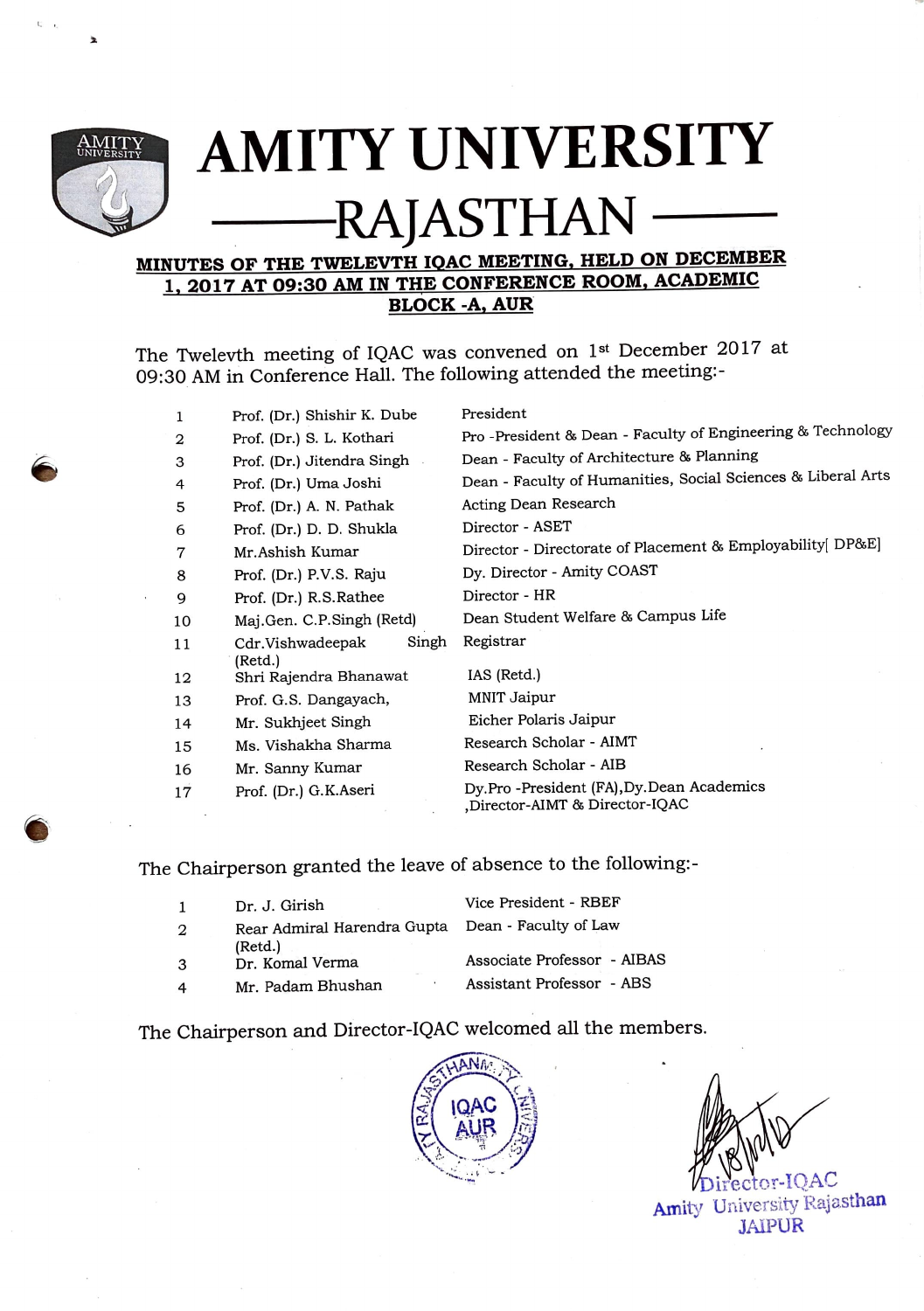

**C** 

-·

 $\mathbf{r}$ 

## **AMITY UNIVERSITY -RAJASTHAN**

## **MINUTES OF THE TWELEVTH IQAC MEETING, HELD ON DECEMBER 1, 2017 AT 09:30 AM IN THE CONFERENCE ROOM, ACADEMIC BLOCK-A,AUR**

The Twelevth meeting of IQAC was convened on 1st December 2017 at 09:30 AM in Conference Hall. The following attended the meeting:-

|                                    | 1                               | Prof. (Dr.) Shishir K. Dube | President                                                                   |
|------------------------------------|---------------------------------|-----------------------------|-----------------------------------------------------------------------------|
|                                    | 2                               | Prof. (Dr.) S. L. Kothari   | Pro -President & Dean - Faculty of Engineering & Technology                 |
|                                    | Prof. (Dr.) Jitendra Singh<br>3 |                             | Dean - Faculty of Architecture & Planning                                   |
| Prof. (Dr.) Uma Joshi<br>4         |                                 |                             | Dean - Faculty of Humanities, Social Sciences & Liberal Arts                |
| 5                                  |                                 | Prof. (Dr.) A. N. Pathak    | Acting Dean Research                                                        |
|                                    | 6                               | Prof. (Dr.) D. D. Shukla    | Director - ASET                                                             |
| Mr.Ashish Kumar<br>7               |                                 |                             | Director - Directorate of Placement & Employability[ DP&E]                  |
| 8                                  |                                 | Prof. (Dr.) P.V.S. Raju     | Dy. Director - Amity COAST                                                  |
| Prof. (Dr.) R.S. Rathee<br>9<br>10 |                                 |                             | Director - HR                                                               |
|                                    |                                 | Maj.Gen. C.P.Singh (Retd)   | Dean Student Welfare & Campus Life                                          |
|                                    | 11                              | Singh<br>Cdr.Vishwadeepak   | Registrar                                                                   |
|                                    |                                 | (Retd.)                     |                                                                             |
|                                    | 12                              | Shri Rajendra Bhanawat      | IAS (Retd.)                                                                 |
|                                    | 13                              | Prof. G.S. Dangayach,       | <b>MNIT Jaipur</b>                                                          |
|                                    | 14                              | Mr. Sukhjeet Singh          | Eicher Polaris Jaipur                                                       |
|                                    | 15                              | Ms. Vishakha Sharma         | Research Scholar - AIMT                                                     |
|                                    | 16                              | Mr. Sanny Kumar             | Research Scholar - AIB                                                      |
|                                    | 17                              | Prof. (Dr.) G.K.Aseri       | Dy.Pro -President (FA), Dy.Dean Academics<br>,Director-AIMT & Director-IQAC |
|                                    |                                 |                             |                                                                             |

The Chairperson granted the leave of absence to the following:-

| 2 | Dr. J. Girish<br>Rear Admiral Harendra Gupta  Dean - Faculty of Law | Vice President - RBEF       |  |
|---|---------------------------------------------------------------------|-----------------------------|--|
| 3 | (Retd.)<br>Dr. Komal Verma                                          | Associate Professor - AIBAS |  |
| 4 | Mr. Padam Bhushan                                                   | Assistant Professor - ABS   |  |

The Chairperson and Director-IQAC welcomed all the members.



 $\alpha$ -IQAC Amity University Rajasthan **JAIPUR**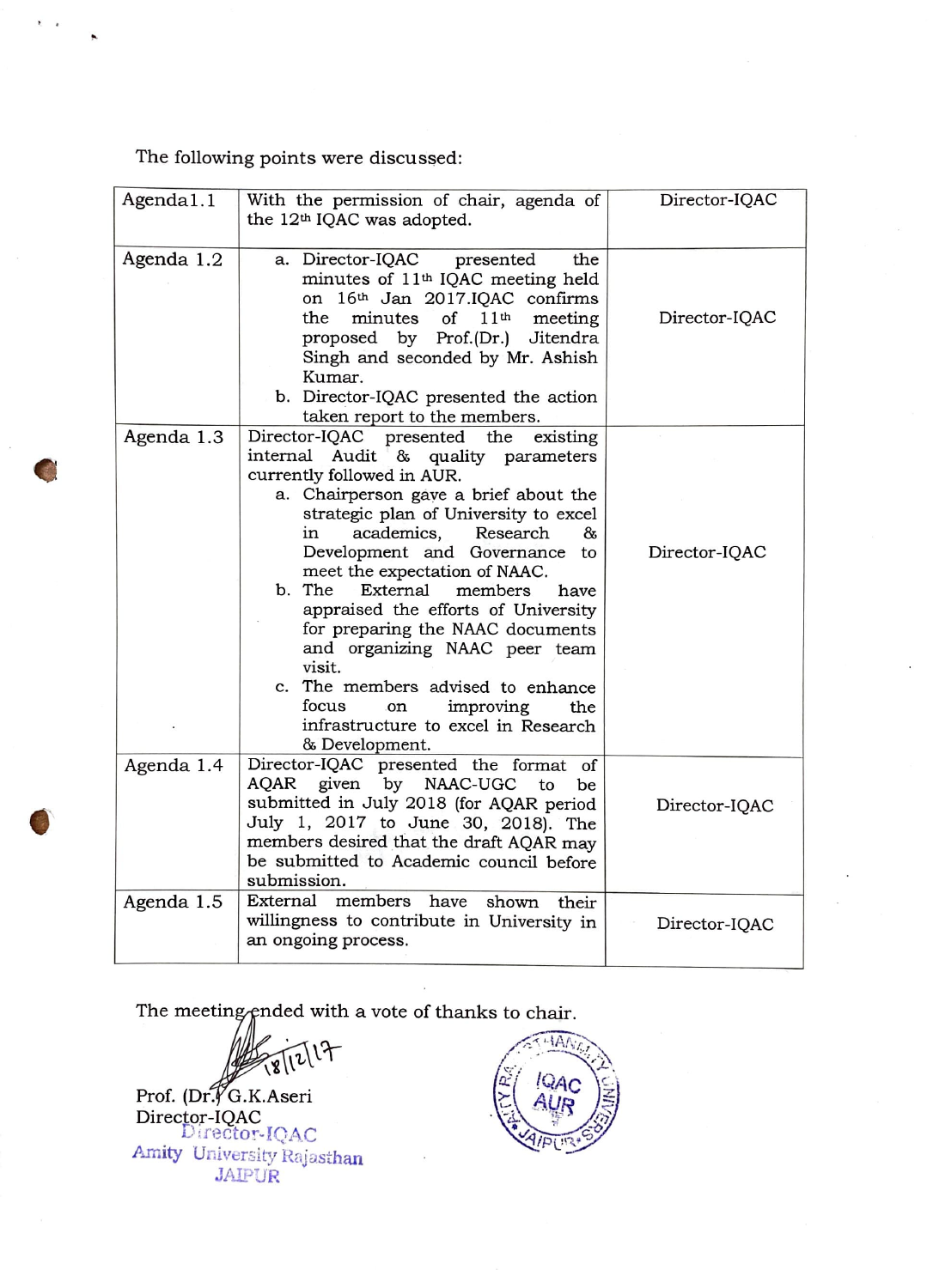The following points were discussed:

| Agenda1.1  | With the permission of chair, agenda of<br>the 12 <sup>th</sup> IQAC was adopted.                                                                                                                                                                                                                                                                                                                                                                                                                                                                                                                               | Director-IQAC |
|------------|-----------------------------------------------------------------------------------------------------------------------------------------------------------------------------------------------------------------------------------------------------------------------------------------------------------------------------------------------------------------------------------------------------------------------------------------------------------------------------------------------------------------------------------------------------------------------------------------------------------------|---------------|
| Agenda 1.2 | a. Director-IQAC presented<br>the<br>minutes of 11 <sup>th</sup> IQAC meeting held<br>on 16th Jan 2017.IQAC confirms<br>minutes<br>of<br>11 <sup>th</sup><br>the<br>meeting<br>proposed by Prof.(Dr.)<br>Jitendra<br>Singh and seconded by Mr. Ashish<br>Kumar.<br>b. Director-IQAC presented the action<br>taken report to the members.                                                                                                                                                                                                                                                                        | Director-IQAC |
| Agenda 1.3 | Director-IQAC<br>presented the<br>existing<br>Audit & quality parameters<br>internal<br>currently followed in AUR.<br>a. Chairperson gave a brief about the<br>strategic plan of University to excel<br>academics,<br>Research<br>85<br>in<br>Development and Governance<br>to<br>meet the expectation of NAAC.<br>b. The<br>External<br>members<br>have<br>appraised the efforts of University<br>for preparing the NAAC documents<br>and organizing NAAC peer team<br>visit.<br>c. The members advised to enhance<br>focus<br>improving<br>the<br>on<br>infrastructure to excel in Research<br>& Development. | Director-IQAC |
| Agenda 1.4 | Director-IQAC presented the format of<br>given by NAAC-UGC<br>AQAR<br>to<br>be<br>submitted in July 2018 (for AQAR period<br>July 1, 2017 to June 30, 2018). The<br>members desired that the draft AQAR may<br>be submitted to Academic council before<br>submission.                                                                                                                                                                                                                                                                                                                                           | Director-IQAC |
| Agenda 1.5 | External<br>members<br>have<br>shown<br>their<br>willingness to contribute in University in<br>an ongoing process.                                                                                                                                                                                                                                                                                                                                                                                                                                                                                              | Director-IQAC |

The meeting ended with a vote of thanks to chair.

LF  $\mathbf{v}$ 

Prof. (Dr. G.K.Aseri Director-IQAC<br>Director-IQAC Amity University Rajasthan JAIP:JR